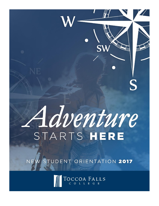

STUDENT ORIENTATION 2017

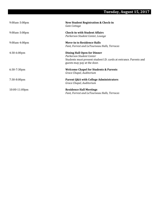#### **Tuesday, August 15, 2017**

| $9:00$ am $-3:00$ pm | <b>New Student Registration &amp; Check-in</b><br>Gate Cottage                                                                                                     |
|----------------------|--------------------------------------------------------------------------------------------------------------------------------------------------------------------|
| 9:00am-3:00pm        | <b>Check-in with Student Affairs</b><br>Parkerson Student Center, Lounge                                                                                           |
| 9:00am-4:00pm        | <b>Move-in to Residence Halls</b><br>Fant, Forrest and LeTourneau Halls, Terraces                                                                                  |
| $4:30-6:00$ pm       | <b>Dining Hall Open for Dinner</b><br>Parkerson Student Center<br>Students must present student I.D. cards at entrance. Parents and<br>guests may pay at the door. |
| $6:30-7:30$ pm       | <b>Welcome Chapel for Students &amp; Parents</b><br>Grace Chapel, Auditorium                                                                                       |
| 7:30-8:00pm          | Parent Q&A with College Administrators<br>Grace Chapel, Auditorium                                                                                                 |
| $10:00-11:00$ pm     | <b>Residence Hall Meetings</b><br>Fant, Forrest and LeTourneau Halls, Terraces                                                                                     |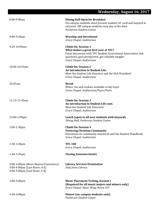|                                                                                                      | <b>Wednesday, August 16, 2017</b>                                                                                                                                                                                      |
|------------------------------------------------------------------------------------------------------|------------------------------------------------------------------------------------------------------------------------------------------------------------------------------------------------------------------------|
| 8:00-9:00am                                                                                          | <b>Dining Hall Open for Breakfast</b><br>On-campus students must present student I.D. card and lanyard at<br>entrance. Off-campus students may pay at the door.<br>Parkerson Student Center                            |
| 9:00-9:20am                                                                                          | <b>Worship and Devotional</b><br>Grace Chapel, Auditorium                                                                                                                                                              |
| 9:25-10:00am                                                                                         | <b>Climb On: Session 1</b><br>What makes a great first year at TFC?<br>Panel discussion with TFC Student Government Association. Ask<br>questions, gain perspective, get valuable insight!<br>Grace Chapel, Auditorium |
| 10:00-10:45am                                                                                        | <b>Climb On: Session 2</b><br>An introduction to Student Life.<br>Meet the Student Life directors and the SGA President!<br>Grace Chapel, Auditorium                                                                   |
| 10:45am                                                                                              | <b>Break</b><br>Water, tea and cookies available in the foyer.<br>Grace Chapel, Auditorium/Foyer/Patio                                                                                                                 |
| 11:15-11:45am                                                                                        | <b>Climb On: Session 3</b><br>An introduction to Student Life cont.<br>Meet the Student Life Directors!<br>Grace Chapel, Auditorium                                                                                    |
| 12:00-1:00pm                                                                                         | Lunch (open to all new students with lanyard)<br>Dining Hall, Parkerson Student Center                                                                                                                                 |
| $1:00-1:30$ pm                                                                                       | <b>Climb On: Session 4</b><br><b>Fostering Christian Community</b><br>Discussion on community standards and the Student Handbook.<br>Grace Chapel, Auditorium                                                          |
| 1:30-1:40pm                                                                                          | <b>TFC 100</b><br>Grace Chapel, Auditorium                                                                                                                                                                             |
| 1:40-1:45pm                                                                                          | <b>Closing Announcements</b>                                                                                                                                                                                           |
| 2:00-3:00pm (Music Majors/Commuters)<br>3:00-4:00pm (Last Name: A-E)<br>4:00-5:00pm (Last Name: F-K) | <b>Library Services Orientation</b><br>Seby Jones Library                                                                                                                                                              |
| $3:00-5:00$ pm                                                                                       | <b>Music Placement Testing, Session I</b><br>(Required for all music majors and minors only)<br>Grace Chapel, Music Wing, Room 107                                                                                     |
| 4:30-6:00pm                                                                                          | Dinner (on-campus students only)<br>Parkerson Student Center                                                                                                                                                           |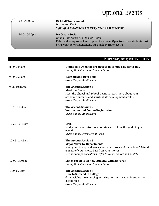# **Optional Events**

| 7:00-9:00pm     | <b>Kickball Tournament</b><br>Intramural Field<br>Sign-up in the Student Center by Noon on Wednesday.                                                                                                    |
|-----------------|----------------------------------------------------------------------------------------------------------------------------------------------------------------------------------------------------------|
| $9:00-10:30$ pm | <b>Ice Cream Social</b><br>Dining Hall, Parkerson Student Center<br>Relax and enjoy some hand dipped ice cream! Open to all new students. Just<br>bring your new student name tag and lanyard to get in! |

### **Thursday, August 17, 2017**

| 8:00-9:00am    | Dining Hall Open for Breakfast (on-campus students only)<br>Dining Hall, Parkerson Student Center                                                                                                                                                        |
|----------------|----------------------------------------------------------------------------------------------------------------------------------------------------------------------------------------------------------------------------------------------------------|
| 9:00-9:20am    | <b>Worship and Devotional</b><br>Grace Chapel, Auditorium                                                                                                                                                                                                |
| 9:25-10:15am   | <b>The Ascent: Session 1</b><br><b>Meet the Deans!</b><br>Meet the Chapel and School Deans to learn more about your<br>academic pursuits and spiritual life development at TFC.<br>Grace Chapel, Auditorium                                              |
| 10:15-10:30am  | <b>The Ascent: Session 2</b><br><b>Your major and Course Registration</b><br>Grace Chapel, Auditorium                                                                                                                                                    |
| 10:30-10:45am  | <b>Break</b><br>Find your major mixer location sign and follow the guide to your<br>event!<br>Grace Chapel, Foyer/Front Patio                                                                                                                            |
| 10:45-11:45am  | <b>The Ascent: Session 3</b><br><b>Major Mixer by Departments</b><br>Meet your faculty and learn about your program! Undecided? Attend<br>a mixer of your choice based on your interest!<br>Various Campus Locations (refer to your orientation booklet) |
| 12:00-1:00pm   | Lunch (open to all new students with lanyard)<br>Dining Hall, Parkerson Student Center                                                                                                                                                                   |
| $1:00-1:30$ pm | <b>The Ascent: Session 4</b><br><b>How to Succeed in College</b><br>Gain insights into studying, tutoring help and academic support for<br>disabilities.<br>Grace Chapel, Auditorium                                                                     |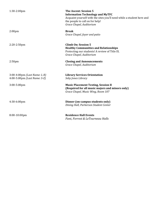| 1:30-2:00pm                                                            | <b>The Ascent: Session 5</b><br><b>Information Technology and MyTFC</b><br>Acquaint yourself with the sites you'll need while a student here and<br>the people to call on for help!<br>Grace Chapel, Auditorium |
|------------------------------------------------------------------------|-----------------------------------------------------------------------------------------------------------------------------------------------------------------------------------------------------------------|
| 2:00 <sub>pm</sub>                                                     | <b>Break</b><br>Grace Chapel, foyer and patio                                                                                                                                                                   |
| $2:20-2:50$ pm                                                         | <b>Climb On: Session 5</b><br><b>Healthy Communities and Relationships</b><br>Protecting our students! A review of Title IX.<br>Grace Chapel, Auditorium                                                        |
| 2:50 <sub>pm</sub>                                                     | <b>Closing and Announcements</b><br>Grace Chapel, Auditorium                                                                                                                                                    |
| $3:00-4:00 \text{pm}$ (Last Name: L-R)<br>4:00-5:00pm (Last Name: S-Z) | <b>Library Services Orientation</b><br>Seby Jones Library                                                                                                                                                       |
| $3:00-5:00$ pm                                                         | <b>Music Placement Testing, Session II</b><br>(Required for all music majors and minors only)<br>Grace Chapel, Music Wing, Room 107                                                                             |
| 4:30-6:00pm                                                            | Dinner (on-campus students only)<br>Dining Hall, Parkerson Student Center                                                                                                                                       |
| 8:00-10:00pm                                                           | <b>Residence Hall Events</b><br>Fant, Forrest & LeTourneau Halls                                                                                                                                                |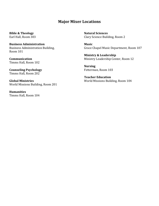#### **Major Mixer Locations**

**Bible & Theology** Earl Hall, Room 303

**Business Administration** Business Administration Building, Room 101

**Communication** Timms Hall, Room 102

**Counseling Psychology** Timms Hall, Room 202

**Global Ministries** World Missions Building, Room 201

**Humanities**  Timms Hall, Room 104 **Natural Sciences** Clary Science Building, Room 2

**Music** Grace Chapel Music Department, Room 107

**Ministry & Leadership** Ministry Leadership Center, Room 12

**Nursing** Fetterman, Room 103

**Teacher Education** World Missions Building, Room 104